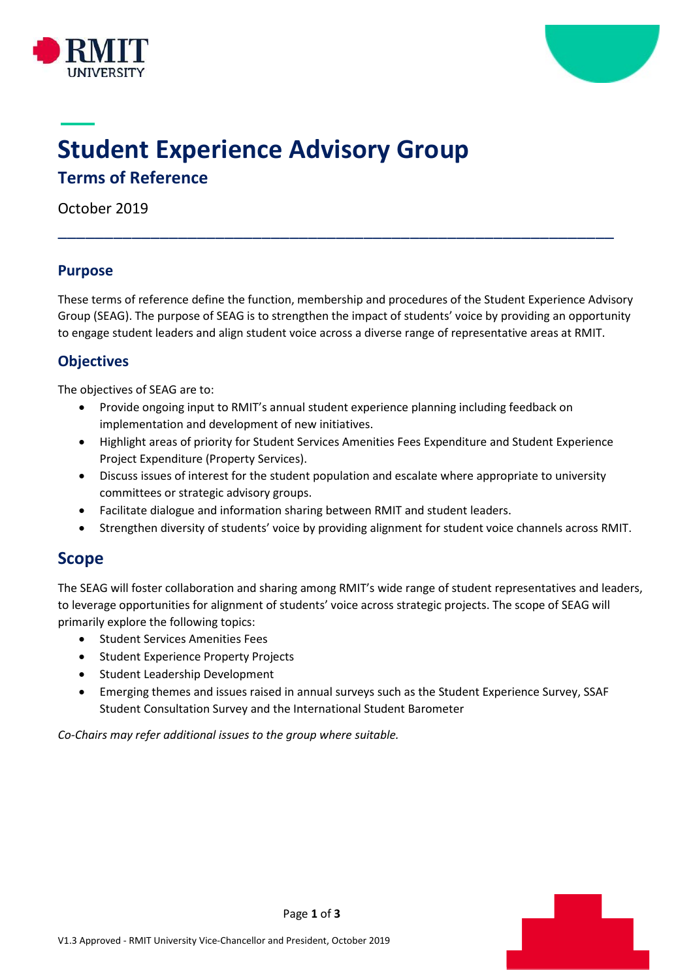



# **Student Experience Advisory Group Terms of Reference**

October 2019

## **Purpose**

These terms of reference define the function, membership and procedures of the Student Experience Advisory Group (SEAG). The purpose of SEAG is to strengthen the impact of students' voice by providing an opportunity to engage student leaders and align student voice across a diverse range of representative areas at RMIT.

\_\_\_\_\_\_\_\_\_\_\_\_\_\_\_\_\_\_\_\_\_\_\_\_\_\_\_\_\_\_\_\_\_\_\_\_\_\_\_\_\_\_\_\_\_\_\_\_\_\_\_\_\_\_\_\_\_\_\_\_

## **Objectives**

The objectives of SEAG are to:

- Provide ongoing input to RMIT's annual student experience planning including feedback on implementation and development of new initiatives.
- Highlight areas of priority for Student Services Amenities Fees Expenditure and Student Experience Project Expenditure (Property Services).
- Discuss issues of interest for the student population and escalate where appropriate to university committees or strategic advisory groups.
- Facilitate dialogue and information sharing between RMIT and student leaders.
- Strengthen diversity of students' voice by providing alignment for student voice channels across RMIT.

## **Scope**

The SEAG will foster collaboration and sharing among RMIT's wide range of student representatives and leaders, to leverage opportunities for alignment of students' voice across strategic projects. The scope of SEAG will primarily explore the following topics:

- Student Services Amenities Fees
- Student Experience Property Projects
- Student Leadership Development
- Emerging themes and issues raised in annual surveys such as the Student Experience Survey, SSAF Student Consultation Survey and the International Student Barometer

*Co-Chairs may refer additional issues to the group where suitable.* 

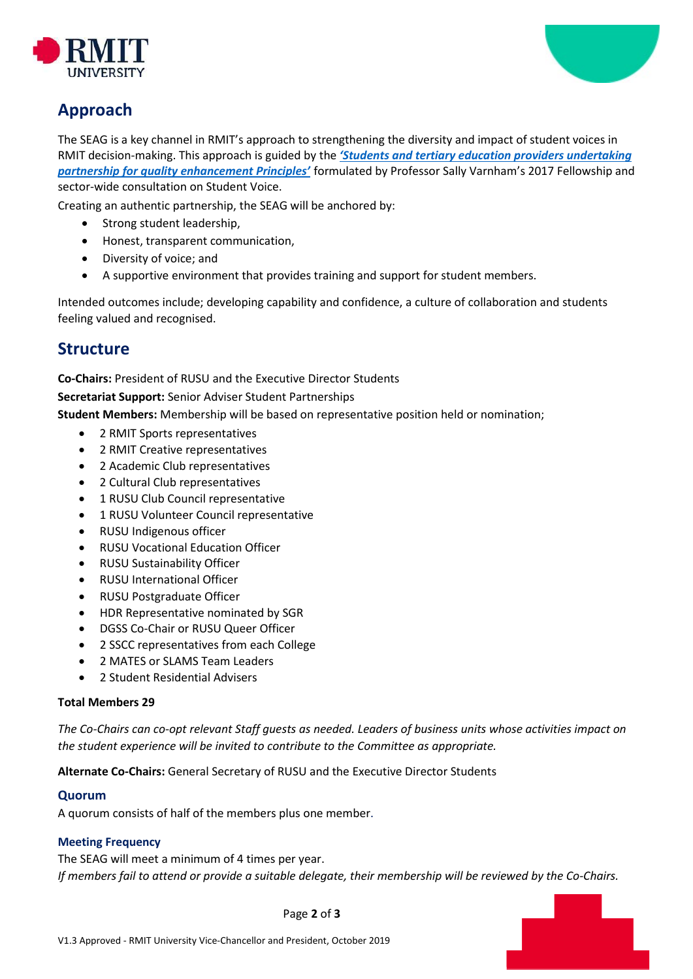



## **Approach**

The SEAG is a key channel in RMIT's approach to strengthening the diversity and impact of student voices in RMIT decision-making. This approach is guided by the *['Students and tertiary education providers undertaking](http://studentvoiceaustralia.com/principles/)  [partnership for quality enhancement Principles'](http://studentvoiceaustralia.com/principles/)* formulated by Professor Sally Varnham's 2017 Fellowship and sector-wide consultation on Student Voice.

Creating an authentic partnership, the SEAG will be anchored by:

- Strong student leadership,
- Honest, transparent communication,
- Diversity of voice; and
- A supportive environment that provides training and support for student members.

Intended outcomes include; developing capability and confidence, a culture of collaboration and students feeling valued and recognised.

## **Structure**

**Co-Chairs:** President of RUSU and the Executive Director Students

**Secretariat Support:** Senior Adviser Student Partnerships

**Student Members:** Membership will be based on representative position held or nomination;

- 2 RMIT Sports representatives
- 2 RMIT Creative representatives
- 2 Academic Club representatives
- 2 Cultural Club representatives
- 1 RUSU Club Council representative
- 1 RUSU Volunteer Council representative
- RUSU Indigenous officer
- RUSU Vocational Education Officer
- RUSU Sustainability Officer
- RUSU International Officer
- RUSU Postgraduate Officer
- HDR Representative nominated by SGR
- DGSS Co-Chair or RUSU Queer Officer
- 2 SSCC representatives from each College
- 2 MATES or SLAMS Team Leaders
- 2 Student Residential Advisers

#### **Total Members 29**

*The Co-Chairs can co-opt relevant Staff guests as needed. Leaders of business units whose activities impact on the student experience will be invited to contribute to the Committee as appropriate.*

**Alternate Co-Chairs:** General Secretary of RUSU and the Executive Director Students

#### **Quorum**

A quorum consists of half of the members plus one member.

### **Meeting Frequency**

The SEAG will meet a minimum of 4 times per year.

*If members fail to attend or provide a suitable delegate, their membership will be reviewed by the Co-Chairs.*